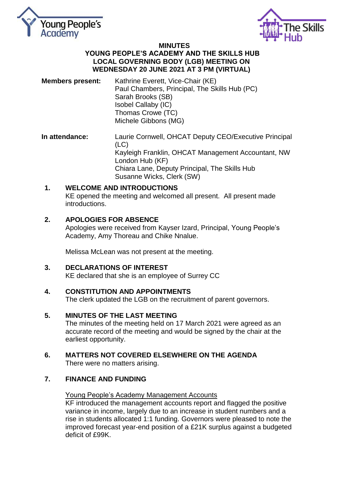



#### **MINUTES YOUNG PEOPLE'S ACADEMY AND THE SKILLS HUB LOCAL GOVERNING BODY (LGB) MEETING ON WEDNESDAY 20 JUNE 2021 AT 3 PM (VIRTUAL)**

- **Members present:** Kathrine Everett, Vice-Chair (KE) Paul Chambers, Principal, The Skills Hub (PC) Sarah Brooks (SB) Isobel Callaby (IC) Thomas Crowe (TC) Michele Gibbons (MG)
- **In attendance:** Laurie Cornwell, OHCAT Deputy CEO/Executive Principal (LC) Kayleigh Franklin, OHCAT Management Accountant, NW London Hub (KF) Chiara Lane, Deputy Principal, The Skills Hub Susanne Wicks, Clerk (SW)

#### **1. WELCOME AND INTRODUCTIONS**  KE opened the meeting and welcomed all present. All present made introductions.

## **2. APOLOGIES FOR ABSENCE**

Apologies were received from Kayser Izard, Principal, Young People's Academy, Amy Thoreau and Chike Nnalue.

Melissa McLean was not present at the meeting.

## **3. DECLARATIONS OF INTEREST**

KE declared that she is an employee of Surrey CC

## **4. CONSTITUTION AND APPOINTMENTS**

The clerk updated the LGB on the recruitment of parent governors.

## **5. MINUTES OF THE LAST MEETING**

The minutes of the meeting held on 17 March 2021 were agreed as an accurate record of the meeting and would be signed by the chair at the earliest opportunity.

# **6. MATTERS NOT COVERED ELSEWHERE ON THE AGENDA**

There were no matters arising.

## **7. FINANCE AND FUNDING**

## Young People's Academy Management Accounts

KF introduced the management accounts report and flagged the positive variance in income, largely due to an increase in student numbers and a rise in students allocated 1:1 funding. Governors were pleased to note the improved forecast year-end position of a £21K surplus against a budgeted deficit of £99K.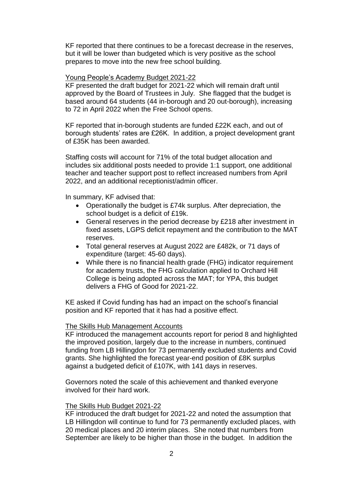KF reported that there continues to be a forecast decrease in the reserves, but it will be lower than budgeted which is very positive as the school prepares to move into the new free school building.

#### Young People's Academy Budget 2021-22

KF presented the draft budget for 2021-22 which will remain draft until approved by the Board of Trustees in July. She flagged that the budget is based around 64 students (44 in-borough and 20 out-borough), increasing to 72 in April 2022 when the Free School opens.

KF reported that in-borough students are funded £22K each, and out of borough students' rates are £26K. In addition, a project development grant of £35K has been awarded.

Staffing costs will account for 71% of the total budget allocation and includes six additional posts needed to provide 1:1 support, one additional teacher and teacher support post to reflect increased numbers from April 2022, and an additional receptionist/admin officer.

In summary, KF advised that:

- Operationally the budget is £74k surplus. After depreciation, the school budget is a deficit of £19k.
- General reserves in the period decrease by £218 after investment in fixed assets, LGPS deficit repayment and the contribution to the MAT reserves.
- Total general reserves at August 2022 are £482k, or 71 days of expenditure (target: 45-60 days).
- While there is no financial health grade (FHG) indicator requirement for academy trusts, the FHG calculation applied to Orchard Hill College is being adopted across the MAT; for YPA, this budget delivers a FHG of Good for 2021-22.

KE asked if Covid funding has had an impact on the school's financial position and KF reported that it has had a positive effect.

#### The Skills Hub Management Accounts

KF introduced the management accounts report for period 8 and highlighted the improved position, largely due to the increase in numbers, continued funding from LB Hillingdon for 73 permanently excluded students and Covid grants. She highlighted the forecast year-end position of £8K surplus against a budgeted deficit of £107K, with 141 days in reserves.

Governors noted the scale of this achievement and thanked everyone involved for their hard work.

#### The Skills Hub Budget 2021-22

KF introduced the draft budget for 2021-22 and noted the assumption that LB Hillingdon will continue to fund for 73 permanently excluded places, with 20 medical places and 20 interim places. She noted that numbers from September are likely to be higher than those in the budget. In addition the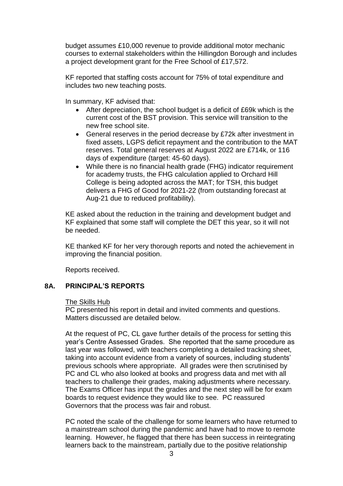budget assumes £10,000 revenue to provide additional motor mechanic courses to external stakeholders within the Hillingdon Borough and includes a project development grant for the Free School of £17,572.

KF reported that staffing costs account for 75% of total expenditure and includes two new teaching posts.

In summary, KF advised that:

- After depreciation, the school budget is a deficit of £69k which is the current cost of the BST provision. This service will transition to the new free school site.
- General reserves in the period decrease by £72k after investment in fixed assets, LGPS deficit repayment and the contribution to the MAT reserves. Total general reserves at August 2022 are £714k, or 116 days of expenditure (target: 45-60 days).
- While there is no financial health grade (FHG) indicator requirement for academy trusts, the FHG calculation applied to Orchard Hill College is being adopted across the MAT; for TSH, this budget delivers a FHG of Good for 2021-22 (from outstanding forecast at Aug-21 due to reduced profitability).

KE asked about the reduction in the training and development budget and KF explained that some staff will complete the DET this year, so it will not be needed.

KE thanked KF for her very thorough reports and noted the achievement in improving the financial position.

Reports received.

## **8A. PRINCIPAL'S REPORTS**

#### The Skills Hub

PC presented his report in detail and invited comments and questions. Matters discussed are detailed below.

At the request of PC, CL gave further details of the process for setting this year's Centre Assessed Grades. She reported that the same procedure as last year was followed, with teachers completing a detailed tracking sheet, taking into account evidence from a variety of sources, including students' previous schools where appropriate. All grades were then scrutinised by PC and CL who also looked at books and progress data and met with all teachers to challenge their grades, making adjustments where necessary. The Exams Officer has input the grades and the next step will be for exam boards to request evidence they would like to see. PC reassured Governors that the process was fair and robust.

PC noted the scale of the challenge for some learners who have returned to a mainstream school during the pandemic and have had to move to remote learning. However, he flagged that there has been success in reintegrating learners back to the mainstream, partially due to the positive relationship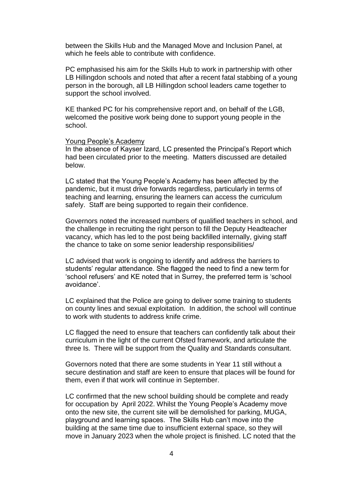between the Skills Hub and the Managed Move and Inclusion Panel, at which he feels able to contribute with confidence.

PC emphasised his aim for the Skills Hub to work in partnership with other LB Hillingdon schools and noted that after a recent fatal stabbing of a young person in the borough, all LB Hillingdon school leaders came together to support the school involved.

KE thanked PC for his comprehensive report and, on behalf of the LGB, welcomed the positive work being done to support young people in the school.

#### Young People's Academy

In the absence of Kayser Izard, LC presented the Principal's Report which had been circulated prior to the meeting. Matters discussed are detailed below.

LC stated that the Young People's Academy has been affected by the pandemic, but it must drive forwards regardless, particularly in terms of teaching and learning, ensuring the learners can access the curriculum safely. Staff are being supported to regain their confidence.

Governors noted the increased numbers of qualified teachers in school, and the challenge in recruiting the right person to fill the Deputy Headteacher vacancy, which has led to the post being backfilled internally, giving staff the chance to take on some senior leadership responsibilities/

LC advised that work is ongoing to identify and address the barriers to students' regular attendance. She flagged the need to find a new term for 'school refusers' and KE noted that in Surrey, the preferred term is 'school avoidance'.

LC explained that the Police are going to deliver some training to students on county lines and sexual exploitation. In addition, the school will continue to work with students to address knife crime.

LC flagged the need to ensure that teachers can confidently talk about their curriculum in the light of the current Ofsted framework, and articulate the three Is. There will be support from the Quality and Standards consultant.

Governors noted that there are some students in Year 11 still without a secure destination and staff are keen to ensure that places will be found for them, even if that work will continue in September.

LC confirmed that the new school building should be complete and ready for occupation by April 2022. Whilst the Young People's Academy move onto the new site, the current site will be demolished for parking, MUGA, playground and learning spaces. The Skills Hub can't move into the building at the same time due to insufficient external space, so they will move in January 2023 when the whole project is finished. LC noted that the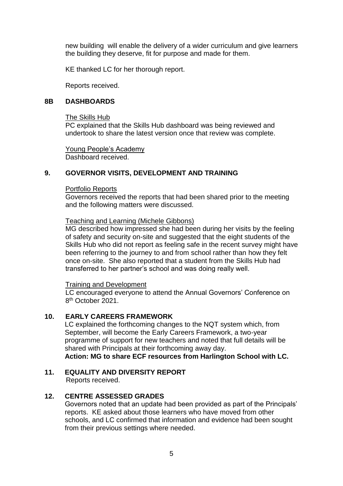new building will enable the delivery of a wider curriculum and give learners the building they deserve, fit for purpose and made for them.

KE thanked LC for her thorough report.

Reports received.

#### **8B DASHBOARDS**

#### The Skills Hub

PC explained that the Skills Hub dashboard was being reviewed and undertook to share the latest version once that review was complete.

Young People's Academy Dashboard received.

## **9. GOVERNOR VISITS, DEVELOPMENT AND TRAINING**

#### Portfolio Reports

Governors received the reports that had been shared prior to the meeting and the following matters were discussed.

#### Teaching and Learning (Michele Gibbons)

MG described how impressed she had been during her visits by the feeling of safety and security on-site and suggested that the eight students of the Skills Hub who did not report as feeling safe in the recent survey might have been referring to the journey to and from school rather than how they felt once on-site. She also reported that a student from the Skills Hub had transferred to her partner's school and was doing really well.

#### Training and Development

LC encouraged everyone to attend the Annual Governors' Conference on 8<sup>th</sup> October 2021.

## **10. EARLY CAREERS FRAMEWORK**

LC explained the forthcoming changes to the NQT system which, from September, will become the Early Careers Framework, a two-year programme of support for new teachers and noted that full details will be shared with Principals at their forthcoming away day. **Action: MG to share ECF resources from Harlington School with LC.** 

# **11. EQUALITY AND DIVERSITY REPORT**

Reports received.

## **12. CENTRE ASSESSED GRADES**

Governors noted that an update had been provided as part of the Principals' reports. KE asked about those learners who have moved from other schools, and LC confirmed that information and evidence had been sought from their previous settings where needed.